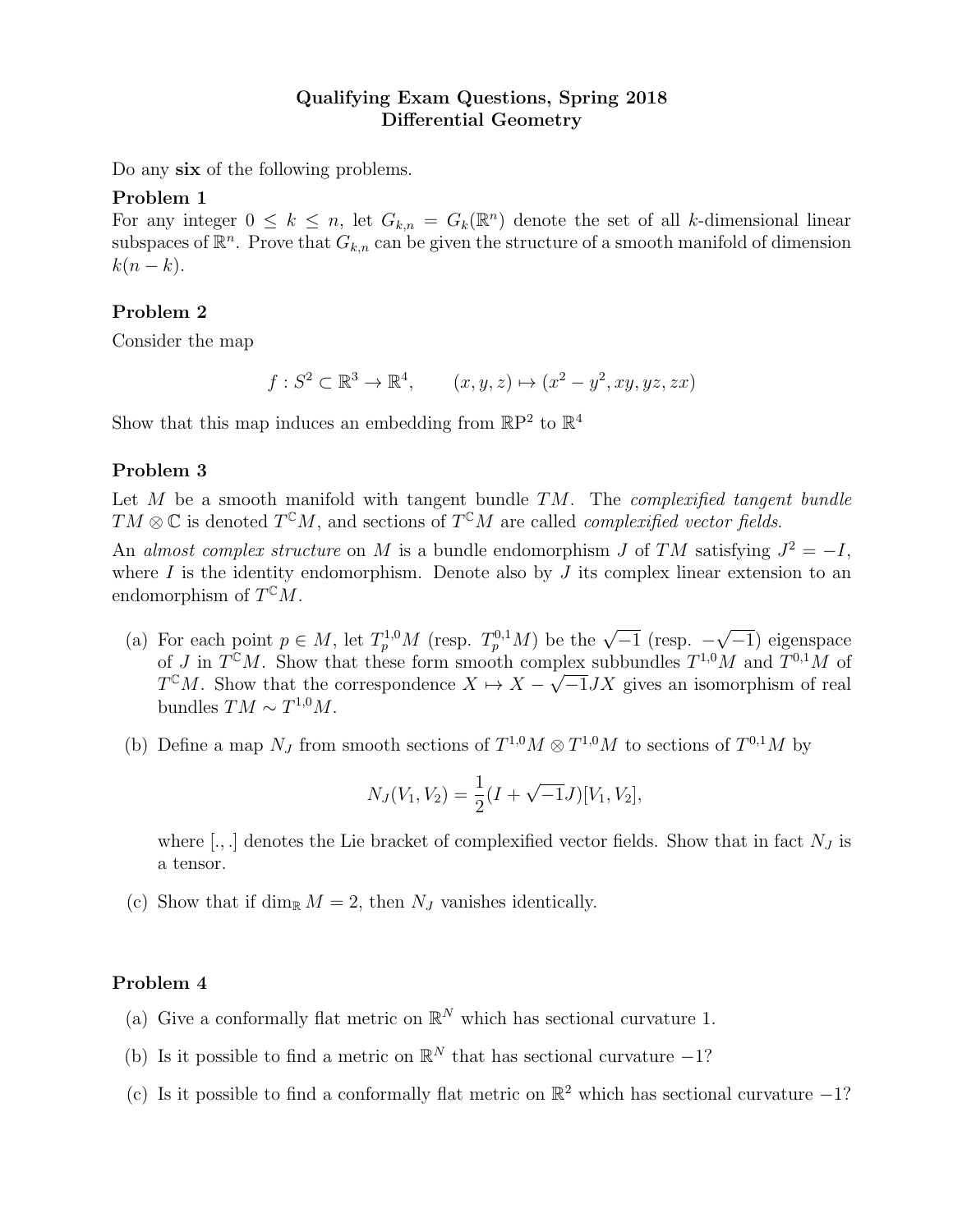# Qualifying Exam Questions, Spring 2018 Differential Geometry

Do any six of the following problems.

### Problem 1

For any integer  $0 \leq k \leq n$ , let  $G_{k,n} = G_k(\mathbb{R}^n)$  denote the set of all k-dimensional linear subspaces of  $\mathbb{R}^n$ . Prove that  $G_{k,n}$  can be given the structure of a smooth manifold of dimension  $k(n-k).$ 

# Problem 2

Consider the map

$$
f: S^2 \subset \mathbb{R}^3 \to \mathbb{R}^4, \qquad (x, y, z) \mapsto (x^2 - y^2, xy, yz, zx)
$$

Show that this map induces an embedding from  $\mathbb{R}P^2$  to  $\mathbb{R}^4$ 

## Problem 3

Let  $M$  be a smooth manifold with tangent bundle  $TM$ . The *complexified tangent bundle*  $TM \otimes \mathbb{C}$  is denoted  $T^{\mathbb{C}}M$ , and sections of  $T^{\mathbb{C}}M$  are called *complexified vector fields*.

An almost complex structure on M is a bundle endomorphism J of TM satisfying  $J^2 = -I$ , where  $I$  is the identity endomorphism. Denote also by  $J$  its complex linear extension to an endomorphism of  $T^{\mathbb{C}}M$ .

- (a) For each point  $p \in M$ , let  $T_p^{1,0}M$  (resp.  $T_p^{0,1}M$ ) be the  $\sqrt{-1}$  (resp.  $-$ √  $\overline{-1}$ ) eigenspace of J in  $T^{\mathbb{C}}M$ . Show that these form smooth complex subbundles  $T^{1,0}M$  and  $T^{0,1}M$  of  $T^{C}M$ . Show that the correspondence  $X \mapsto X - \sqrt{-1}JX$  gives an isomorphism of real bundles  $TM \sim T^{1,0}M$ .
- (b) Define a map  $N_J$  from smooth sections of  $T^{1,0}M \otimes T^{1,0}M$  to sections of  $T^{0,1}M$  by

$$
N_J(V_1, V_2) = \frac{1}{2}(I + \sqrt{-1}J)[V_1, V_2],
$$

where  $[.,.]$  denotes the Lie bracket of complexified vector fields. Show that in fact  $N_J$  is a tensor.

(c) Show that if dim<sub>R</sub>  $M = 2$ , then  $N_J$  vanishes identically.

## Problem 4

- (a) Give a conformally flat metric on  $\mathbb{R}^N$  which has sectional curvature 1.
- (b) Is it possible to find a metric on  $\mathbb{R}^N$  that has sectional curvature -1?
- (c) Is it possible to find a conformally flat metric on  $\mathbb{R}^2$  which has sectional curvature  $-1$ ?